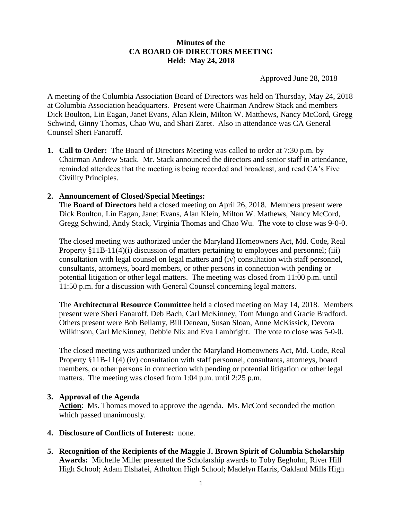### **Minutes of the CA BOARD OF DIRECTORS MEETING Held: May 24, 2018**

Approved June 28, 2018

A meeting of the Columbia Association Board of Directors was held on Thursday, May 24, 2018 at Columbia Association headquarters. Present were Chairman Andrew Stack and members Dick Boulton, Lin Eagan, Janet Evans, Alan Klein, Milton W. Matthews, Nancy McCord, Gregg Schwind, Ginny Thomas, Chao Wu, and Shari Zaret. Also in attendance was CA General Counsel Sheri Fanaroff.

**1. Call to Order:** The Board of Directors Meeting was called to order at 7:30 p.m. by Chairman Andrew Stack. Mr. Stack announced the directors and senior staff in attendance, reminded attendees that the meeting is being recorded and broadcast, and read CA's Five Civility Principles.

### **2. Announcement of Closed/Special Meetings:**

The **Board of Directors** held a closed meeting on April 26, 2018. Members present were Dick Boulton, Lin Eagan, Janet Evans, Alan Klein, Milton W. Mathews, Nancy McCord, Gregg Schwind, Andy Stack, Virginia Thomas and Chao Wu. The vote to close was 9-0-0.

The closed meeting was authorized under the Maryland Homeowners Act, Md. Code, Real Property §11B-11(4)(i) discussion of matters pertaining to employees and personnel; (iii) consultation with legal counsel on legal matters and (iv) consultation with staff personnel, consultants, attorneys, board members, or other persons in connection with pending or potential litigation or other legal matters. The meeting was closed from 11:00 p.m. until 11:50 p.m. for a discussion with General Counsel concerning legal matters.

The **Architectural Resource Committee** held a closed meeting on May 14, 2018. Members present were Sheri Fanaroff, Deb Bach, Carl McKinney, Tom Mungo and Gracie Bradford. Others present were Bob Bellamy, Bill Deneau, Susan Sloan, Anne McKissick, Devora Wilkinson, Carl McKinney, Debbie Nix and Eva Lambright. The vote to close was 5-0-0.

The closed meeting was authorized under the Maryland Homeowners Act, Md. Code, Real Property §11B-11(4) (iv) consultation with staff personnel, consultants, attorneys, board members, or other persons in connection with pending or potential litigation or other legal matters. The meeting was closed from 1:04 p.m. until 2:25 p.m.

### **3. Approval of the Agenda**

**Action**: Ms. Thomas moved to approve the agenda. Ms. McCord seconded the motion which passed unanimously.

- **4. Disclosure of Conflicts of Interest:** none.
- **5. Recognition of the Recipients of the Maggie J. Brown Spirit of Columbia Scholarship Awards:** Michelle Miller presented the Scholarship awards to Toby Eegholm, River Hill High School; Adam Elshafei, Atholton High School; Madelyn Harris, Oakland Mills High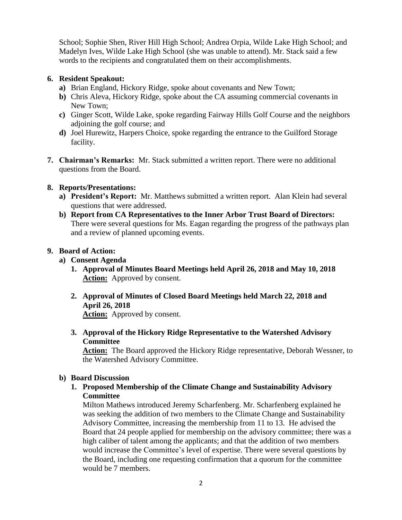School; Sophie Shen, River Hill High School; Andrea Orpia, Wilde Lake High School; and Madelyn Ives, Wilde Lake High School (she was unable to attend). Mr. Stack said a few words to the recipients and congratulated them on their accomplishments.

## **6. Resident Speakout:**

- **a)** Brian England, Hickory Ridge, spoke about covenants and New Town;
- **b)** Chris Aleva, Hickory Ridge, spoke about the CA assuming commercial covenants in New Town;
- **c)** Ginger Scott, Wilde Lake, spoke regarding Fairway Hills Golf Course and the neighbors adjoining the golf course; and
- **d)** Joel Hurewitz, Harpers Choice, spoke regarding the entrance to the Guilford Storage facility.
- **7. Chairman's Remarks:** Mr. Stack submitted a written report. There were no additional questions from the Board.

# **8. Reports/Presentations:**

- **a) President's Report:** Mr. Matthews submitted a written report. Alan Klein had several questions that were addressed.
- **b) Report from CA Representatives to the Inner Arbor Trust Board of Directors:** There were several questions for Ms. Eagan regarding the progress of the pathways plan and a review of planned upcoming events.

# **9. Board of Action:**

- **a) Consent Agenda**
	- **1. Approval of Minutes Board Meetings held April 26, 2018 and May 10, 2018 Action:** Approved by consent.
	- **2. Approval of Minutes of Closed Board Meetings held March 22, 2018 and April 26, 2018**

**Action:** Approved by consent.

**3. Approval of the Hickory Ridge Representative to the Watershed Advisory Committee**

**Action:** The Board approved the Hickory Ridge representative, Deborah Wessner, to the Watershed Advisory Committee.

## **b) Board Discussion**

**1. Proposed Membership of the Climate Change and Sustainability Advisory Committee**

Milton Mathews introduced Jeremy Scharfenberg. Mr. Scharfenberg explained he was seeking the addition of two members to the Climate Change and Sustainability Advisory Committee, increasing the membership from 11 to 13. He advised the Board that 24 people applied for membership on the advisory committee; there was a high caliber of talent among the applicants; and that the addition of two members would increase the Committee's level of expertise. There were several questions by the Board, including one requesting confirmation that a quorum for the committee would be 7 members.